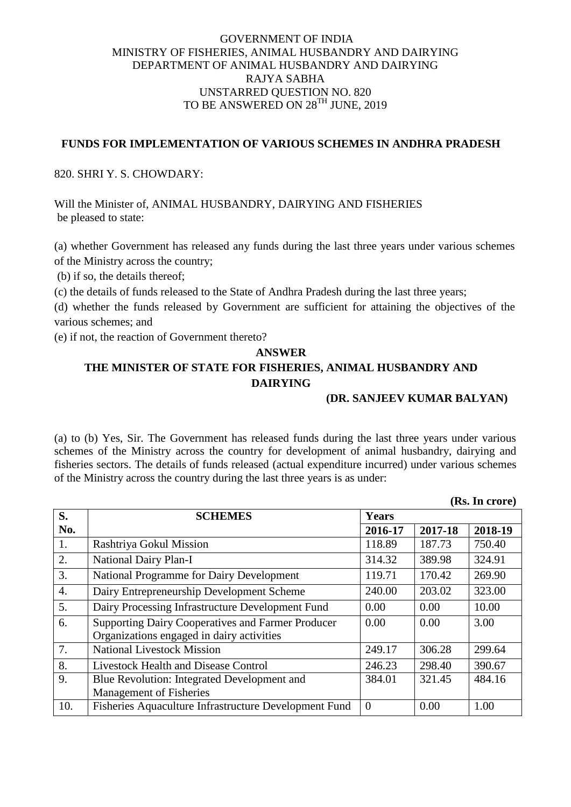## GOVERNMENT OF INDIA MINISTRY OF FISHERIES, ANIMAL HUSBANDRY AND DAIRYING DEPARTMENT OF ANIMAL HUSBANDRY AND DAIRYING RAJYA SABHA UNSTARRED QUESTION NO. 820 TO BE ANSWERED ON 28TH JUNE, 2019

## **FUNDS FOR IMPLEMENTATION OF VARIOUS SCHEMES IN ANDHRA PRADESH**

820. SHRI Y. S. CHOWDARY:

Will the Minister of, ANIMAL HUSBANDRY, DAIRYING AND FISHERIES be pleased to state:

(a) whether Government has released any funds during the last three years under various schemes of the Ministry across the country;

(b) if so, the details thereof;

(c) the details of funds released to the State of Andhra Pradesh during the last three years;

(d) whether the funds released by Government are sufficient for attaining the objectives of the various schemes; and

(e) if not, the reaction of Government thereto?

## **ANSWER THE MINISTER OF STATE FOR FISHERIES, ANIMAL HUSBANDRY AND DAIRYING**

**(DR. SANJEEV KUMAR BALYAN)**

**(Rs. In crore)**

(a) to (b) Yes, Sir. The Government has released funds during the last three years under various schemes of the Ministry across the country for development of animal husbandry, dairying and fisheries sectors. The details of funds released (actual expenditure incurred) under various schemes of the Ministry across the country during the last three years is as under:

|                  | 1499 LH VIVIV                                                                                  |                |         |         |  |
|------------------|------------------------------------------------------------------------------------------------|----------------|---------|---------|--|
| S.               | <b>SCHEMES</b>                                                                                 | <b>Years</b>   |         |         |  |
| No.              |                                                                                                | 2016-17        | 2017-18 | 2018-19 |  |
| 1.               | Rashtriya Gokul Mission                                                                        | 118.89         | 187.73  | 750.40  |  |
| 2.               | National Dairy Plan-I                                                                          | 314.32         | 389.98  | 324.91  |  |
| 3.               | National Programme for Dairy Development                                                       | 119.71         | 170.42  | 269.90  |  |
| $\overline{4}$ . | Dairy Entrepreneurship Development Scheme                                                      | 240.00         | 203.02  | 323.00  |  |
| 5.               | Dairy Processing Infrastructure Development Fund                                               | 0.00           | 0.00    | 10.00   |  |
| 6.               | Supporting Dairy Cooperatives and Farmer Producer<br>Organizations engaged in dairy activities | 0.00           | 0.00    | 3.00    |  |
| 7.               | <b>National Livestock Mission</b>                                                              | 249.17         | 306.28  | 299.64  |  |
| 8.               | <b>Livestock Health and Disease Control</b>                                                    | 246.23         | 298.40  | 390.67  |  |
| 9.               | Blue Revolution: Integrated Development and                                                    | 384.01         | 321.45  | 484.16  |  |
|                  | <b>Management of Fisheries</b>                                                                 |                |         |         |  |
| 10.              | Fisheries Aquaculture Infrastructure Development Fund                                          | $\overline{0}$ | 0.00    | 1.00    |  |